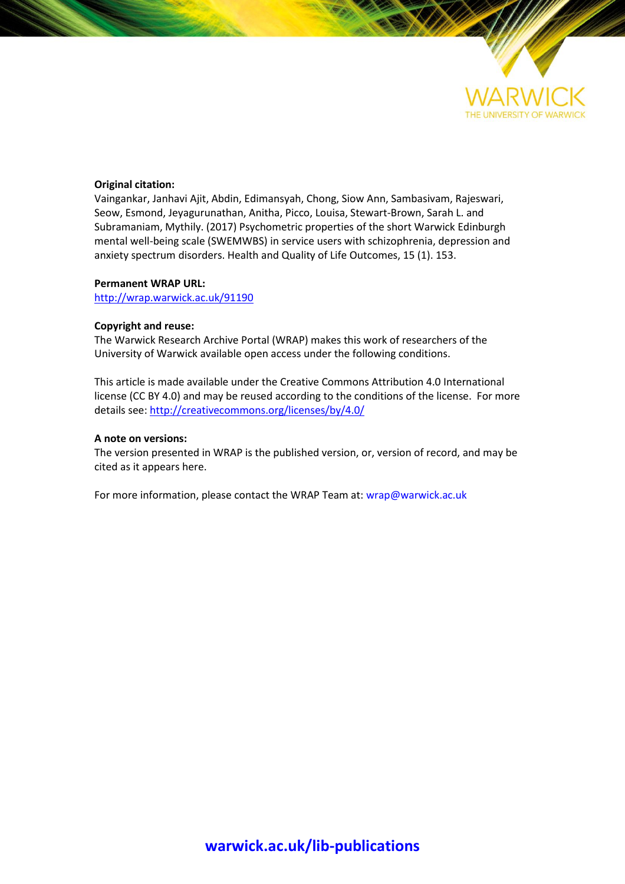

# **Original citation:**

Vaingankar, Janhavi Ajit, Abdin, Edimansyah, Chong, Siow Ann, Sambasivam, Rajeswari, Seow, Esmond, Jeyagurunathan, Anitha, Picco, Louisa, Stewart-Brown, Sarah L. and Subramaniam, Mythily. (2017) Psychometric properties of the short Warwick Edinburgh mental well-being scale (SWEMWBS) in service users with schizophrenia, depression and anxiety spectrum disorders. Health and Quality of Life Outcomes, 15 (1). 153.

# **Permanent WRAP URL:**

<http://wrap.warwick.ac.uk/91190>

# **Copyright and reuse:**

The Warwick Research Archive Portal (WRAP) makes this work of researchers of the University of Warwick available open access under the following conditions.

This article is made available under the Creative Commons Attribution 4.0 International license (CC BY 4.0) and may be reused according to the conditions of the license. For more details see[: http://creativecommons.org/licenses/by/4.0/](http://creativecommons.org/licenses/by/4.0/)

# **A note on versions:**

The version presented in WRAP is the published version, or, version of record, and may be cited as it appears here.

For more information, please contact the WRAP Team at[: wrap@warwick.ac.uk](mailto:wrap@warwick.ac.uk)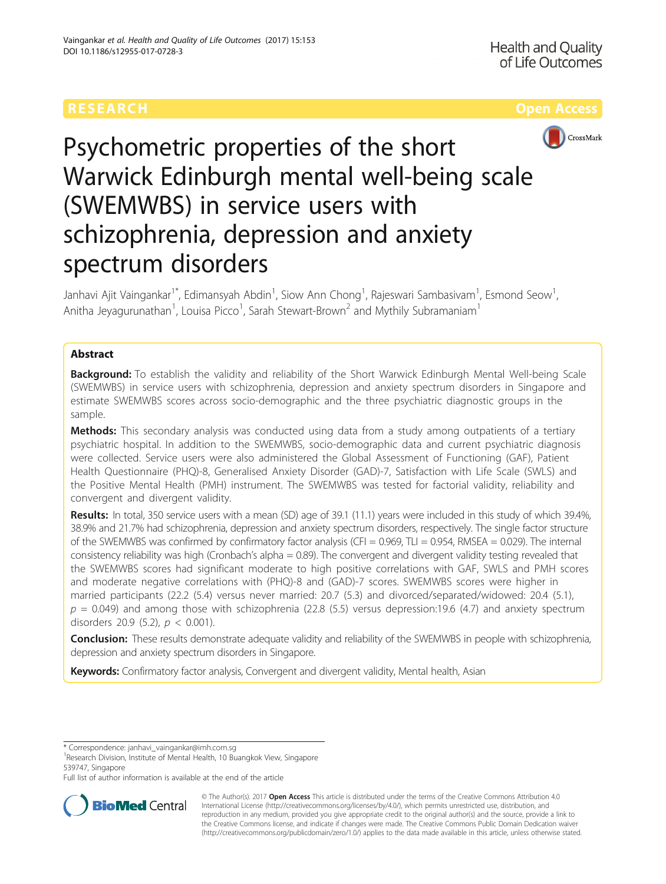

# Psychometric properties of the short Warwick Edinburgh mental well-being scale (SWEMWBS) in service users with schizophrenia, depression and anxiety spectrum disorders

Janhavi Ajit Vaingankar $^{1^\ast}$ , Edimansyah Abdin $^1$ , Siow Ann Chong $^1$ , Rajeswari Sambasivam $^1$ , Esmond Seow $^1$ , Anitha Jeyagurunathan<sup>1</sup>, Louisa Picco<sup>1</sup>, Sarah Stewart-Brown<sup>2</sup> and Mythily Subramaniam<sup>1</sup>

# Abstract

**Background:** To establish the validity and reliability of the Short Warwick Edinburgh Mental Well-being Scale (SWEMWBS) in service users with schizophrenia, depression and anxiety spectrum disorders in Singapore and estimate SWEMWBS scores across socio-demographic and the three psychiatric diagnostic groups in the sample.

Methods: This secondary analysis was conducted using data from a study among outpatients of a tertiary psychiatric hospital. In addition to the SWEMWBS, socio-demographic data and current psychiatric diagnosis were collected. Service users were also administered the Global Assessment of Functioning (GAF), Patient Health Questionnaire (PHQ)-8, Generalised Anxiety Disorder (GAD)-7, Satisfaction with Life Scale (SWLS) and the Positive Mental Health (PMH) instrument. The SWEMWBS was tested for factorial validity, reliability and convergent and divergent validity.

Results: In total, 350 service users with a mean (SD) age of 39.1 (11.1) years were included in this study of which 39.4%, 38.9% and 21.7% had schizophrenia, depression and anxiety spectrum disorders, respectively. The single factor structure of the SWEMWBS was confirmed by confirmatory factor analysis (CFI =  $0.969$ , TLI =  $0.954$ , RMSEA =  $0.029$ ). The internal consistency reliability was high (Cronbach's alpha = 0.89). The convergent and divergent validity testing revealed that the SWEMWBS scores had significant moderate to high positive correlations with GAF, SWLS and PMH scores and moderate negative correlations with (PHQ)-8 and (GAD)-7 scores. SWEMWBS scores were higher in married participants (22.2 (5.4) versus never married: 20.7 (5.3) and divorced/separated/widowed: 20.4 (5.1),  $p = 0.049$ ) and among those with schizophrenia (22.8 (5.5) versus depression:19.6 (4.7) and anxiety spectrum disorders 20.9 (5.2),  $p < 0.001$ ).

Conclusion: These results demonstrate adequate validity and reliability of the SWEMWBS in people with schizophrenia, depression and anxiety spectrum disorders in Singapore.

Keywords: Confirmatory factor analysis, Convergent and divergent validity, Mental health, Asian

<sup>1</sup>Research Division, Institute of Mental Health, 10 Buangkok View, Singapore 539747, Singapore

Full list of author information is available at the end of the article



© The Author(s). 2017 **Open Access** This article is distributed under the terms of the Creative Commons Attribution 4.0 International License [\(http://creativecommons.org/licenses/by/4.0/](http://creativecommons.org/licenses/by/4.0/)), which permits unrestricted use, distribution, and reproduction in any medium, provided you give appropriate credit to the original author(s) and the source, provide a link to the Creative Commons license, and indicate if changes were made. The Creative Commons Public Domain Dedication waiver [\(http://creativecommons.org/publicdomain/zero/1.0/](http://creativecommons.org/publicdomain/zero/1.0/)) applies to the data made available in this article, unless otherwise stated.

<sup>\*</sup> Correspondence: [janhavi\\_vaingankar@imh.com.sg](mailto:janhavi_vaingankar@imh.com.sg) <sup>1</sup>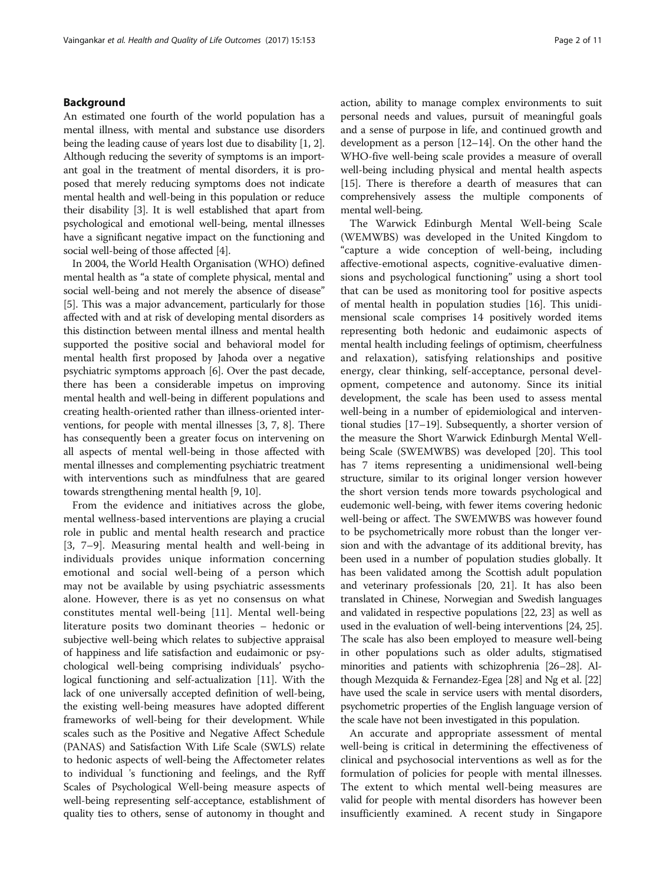# Background

An estimated one fourth of the world population has a mental illness, with mental and substance use disorders being the leading cause of years lost due to disability [\[1, 2](#page-10-0)]. Although reducing the severity of symptoms is an important goal in the treatment of mental disorders, it is proposed that merely reducing symptoms does not indicate mental health and well-being in this population or reduce their disability [\[3](#page-10-0)]. It is well established that apart from psychological and emotional well-being, mental illnesses have a significant negative impact on the functioning and social well-being of those affected [\[4](#page-10-0)].

In 2004, the World Health Organisation (WHO) defined mental health as "a state of complete physical, mental and social well-being and not merely the absence of disease" [[5\]](#page-10-0). This was a major advancement, particularly for those affected with and at risk of developing mental disorders as this distinction between mental illness and mental health supported the positive social and behavioral model for mental health first proposed by Jahoda over a negative psychiatric symptoms approach [[6\]](#page-10-0). Over the past decade, there has been a considerable impetus on improving mental health and well-being in different populations and creating health-oriented rather than illness-oriented interventions, for people with mental illnesses [\[3](#page-10-0), [7, 8](#page-10-0)]. There has consequently been a greater focus on intervening on all aspects of mental well-being in those affected with mental illnesses and complementing psychiatric treatment with interventions such as mindfulness that are geared towards strengthening mental health [\[9, 10](#page-10-0)].

From the evidence and initiatives across the globe, mental wellness-based interventions are playing a crucial role in public and mental health research and practice [[3, 7](#page-10-0)–[9](#page-10-0)]. Measuring mental health and well-being in individuals provides unique information concerning emotional and social well-being of a person which may not be available by using psychiatric assessments alone. However, there is as yet no consensus on what constitutes mental well-being [\[11](#page-10-0)]. Mental well-being literature posits two dominant theories – hedonic or subjective well-being which relates to subjective appraisal of happiness and life satisfaction and eudaimonic or psychological well-being comprising individuals' psychological functioning and self-actualization [[11](#page-10-0)]. With the lack of one universally accepted definition of well-being, the existing well-being measures have adopted different frameworks of well-being for their development. While scales such as the Positive and Negative Affect Schedule (PANAS) and Satisfaction With Life Scale (SWLS) relate to hedonic aspects of well-being the Affectometer relates to individual 's functioning and feelings, and the Ryff Scales of Psychological Well-being measure aspects of well-being representing self-acceptance, establishment of quality ties to others, sense of autonomy in thought and action, ability to manage complex environments to suit personal needs and values, pursuit of meaningful goals and a sense of purpose in life, and continued growth and development as a person [\[12](#page-10-0)–[14](#page-10-0)]. On the other hand the WHO-five well-being scale provides a measure of overall well-being including physical and mental health aspects [[15](#page-10-0)]. There is therefore a dearth of measures that can comprehensively assess the multiple components of mental well-being.

The Warwick Edinburgh Mental Well-being Scale (WEMWBS) was developed in the United Kingdom to "capture a wide conception of well-being, including affective-emotional aspects, cognitive-evaluative dimensions and psychological functioning" using a short tool that can be used as monitoring tool for positive aspects of mental health in population studies [\[16\]](#page-10-0). This unidimensional scale comprises 14 positively worded items representing both hedonic and eudaimonic aspects of mental health including feelings of optimism, cheerfulness and relaxation), satisfying relationships and positive energy, clear thinking, self-acceptance, personal development, competence and autonomy. Since its initial development, the scale has been used to assess mental well-being in a number of epidemiological and interventional studies [\[17](#page-10-0)–[19](#page-10-0)]. Subsequently, a shorter version of the measure the Short Warwick Edinburgh Mental Wellbeing Scale (SWEMWBS) was developed [\[20\]](#page-10-0). This tool has 7 items representing a unidimensional well-being structure, similar to its original longer version however the short version tends more towards psychological and eudemonic well-being, with fewer items covering hedonic well-being or affect. The SWEMWBS was however found to be psychometrically more robust than the longer version and with the advantage of its additional brevity, has been used in a number of population studies globally. It has been validated among the Scottish adult population and veterinary professionals [\[20, 21](#page-10-0)]. It has also been translated in Chinese, Norwegian and Swedish languages and validated in respective populations [[22](#page-10-0), [23](#page-10-0)] as well as used in the evaluation of well-being interventions [\[24, 25](#page-10-0)]. The scale has also been employed to measure well-being in other populations such as older adults, stigmatised minorities and patients with schizophrenia [[26](#page-10-0)–[28\]](#page-10-0). Although Mezquida & Fernandez-Egea [\[28](#page-10-0)] and Ng et al. [\[22](#page-10-0)] have used the scale in service users with mental disorders, psychometric properties of the English language version of the scale have not been investigated in this population.

An accurate and appropriate assessment of mental well-being is critical in determining the effectiveness of clinical and psychosocial interventions as well as for the formulation of policies for people with mental illnesses. The extent to which mental well-being measures are valid for people with mental disorders has however been insufficiently examined. A recent study in Singapore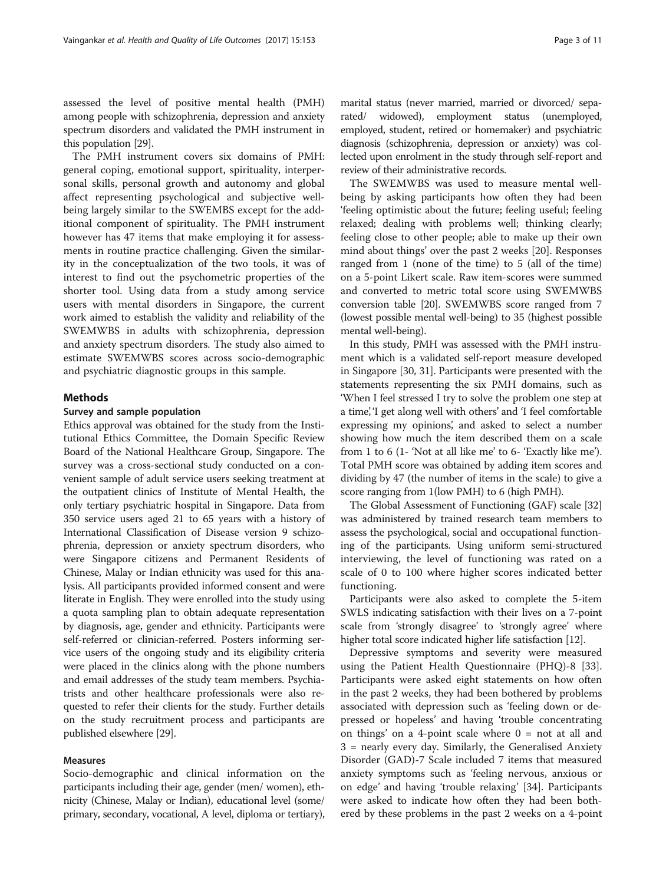assessed the level of positive mental health (PMH) among people with schizophrenia, depression and anxiety spectrum disorders and validated the PMH instrument in this population [[29](#page-10-0)].

The PMH instrument covers six domains of PMH: general coping, emotional support, spirituality, interpersonal skills, personal growth and autonomy and global affect representing psychological and subjective wellbeing largely similar to the SWEMBS except for the additional component of spirituality. The PMH instrument however has 47 items that make employing it for assessments in routine practice challenging. Given the similarity in the conceptualization of the two tools, it was of interest to find out the psychometric properties of the shorter tool. Using data from a study among service users with mental disorders in Singapore, the current work aimed to establish the validity and reliability of the SWEMWBS in adults with schizophrenia, depression and anxiety spectrum disorders. The study also aimed to estimate SWEMWBS scores across socio-demographic and psychiatric diagnostic groups in this sample.

# Methods

# Survey and sample population

Ethics approval was obtained for the study from the Institutional Ethics Committee, the Domain Specific Review Board of the National Healthcare Group, Singapore. The survey was a cross-sectional study conducted on a convenient sample of adult service users seeking treatment at the outpatient clinics of Institute of Mental Health, the only tertiary psychiatric hospital in Singapore. Data from 350 service users aged 21 to 65 years with a history of International Classification of Disease version 9 schizophrenia, depression or anxiety spectrum disorders, who were Singapore citizens and Permanent Residents of Chinese, Malay or Indian ethnicity was used for this analysis. All participants provided informed consent and were literate in English. They were enrolled into the study using a quota sampling plan to obtain adequate representation by diagnosis, age, gender and ethnicity. Participants were self-referred or clinician-referred. Posters informing service users of the ongoing study and its eligibility criteria were placed in the clinics along with the phone numbers and email addresses of the study team members. Psychiatrists and other healthcare professionals were also requested to refer their clients for the study. Further details on the study recruitment process and participants are published elsewhere [[29](#page-10-0)].

# Measures

Socio-demographic and clinical information on the participants including their age, gender (men/ women), ethnicity (Chinese, Malay or Indian), educational level (some/ primary, secondary, vocational, A level, diploma or tertiary),

marital status (never married, married or divorced/ separated/ widowed), employment status (unemployed, employed, student, retired or homemaker) and psychiatric diagnosis (schizophrenia, depression or anxiety) was collected upon enrolment in the study through self-report and review of their administrative records.

The SWEMWBS was used to measure mental wellbeing by asking participants how often they had been 'feeling optimistic about the future; feeling useful; feeling relaxed; dealing with problems well; thinking clearly; feeling close to other people; able to make up their own mind about things' over the past 2 weeks [[20\]](#page-10-0). Responses ranged from 1 (none of the time) to 5 (all of the time) on a 5-point Likert scale. Raw item-scores were summed and converted to metric total score using SWEMWBS conversion table [\[20\]](#page-10-0). SWEMWBS score ranged from 7 (lowest possible mental well-being) to 35 (highest possible mental well-being).

In this study, PMH was assessed with the PMH instrument which is a validated self-report measure developed in Singapore [[30](#page-10-0), [31\]](#page-10-0). Participants were presented with the statements representing the six PMH domains, such as 'When I feel stressed I try to solve the problem one step at a time', 'I get along well with others' and 'I feel comfortable expressing my opinions', and asked to select a number showing how much the item described them on a scale from 1 to 6 (1- 'Not at all like me' to 6- 'Exactly like me'). Total PMH score was obtained by adding item scores and dividing by 47 (the number of items in the scale) to give a score ranging from 1(low PMH) to 6 (high PMH).

The Global Assessment of Functioning (GAF) scale [[32](#page-10-0)] was administered by trained research team members to assess the psychological, social and occupational functioning of the participants. Using uniform semi-structured interviewing, the level of functioning was rated on a scale of 0 to 100 where higher scores indicated better functioning.

Participants were also asked to complete the 5-item SWLS indicating satisfaction with their lives on a 7-point scale from 'strongly disagree' to 'strongly agree' where higher total score indicated higher life satisfaction [\[12\]](#page-10-0).

Depressive symptoms and severity were measured using the Patient Health Questionnaire (PHQ)-8 [\[33](#page-10-0)]. Participants were asked eight statements on how often in the past 2 weeks, they had been bothered by problems associated with depression such as 'feeling down or depressed or hopeless' and having 'trouble concentrating on things' on a 4-point scale where  $0 = \text{not at all and}$ 3 = nearly every day. Similarly, the Generalised Anxiety Disorder (GAD)-7 Scale included 7 items that measured anxiety symptoms such as 'feeling nervous, anxious or on edge' and having 'trouble relaxing' [\[34\]](#page-10-0). Participants were asked to indicate how often they had been bothered by these problems in the past 2 weeks on a 4-point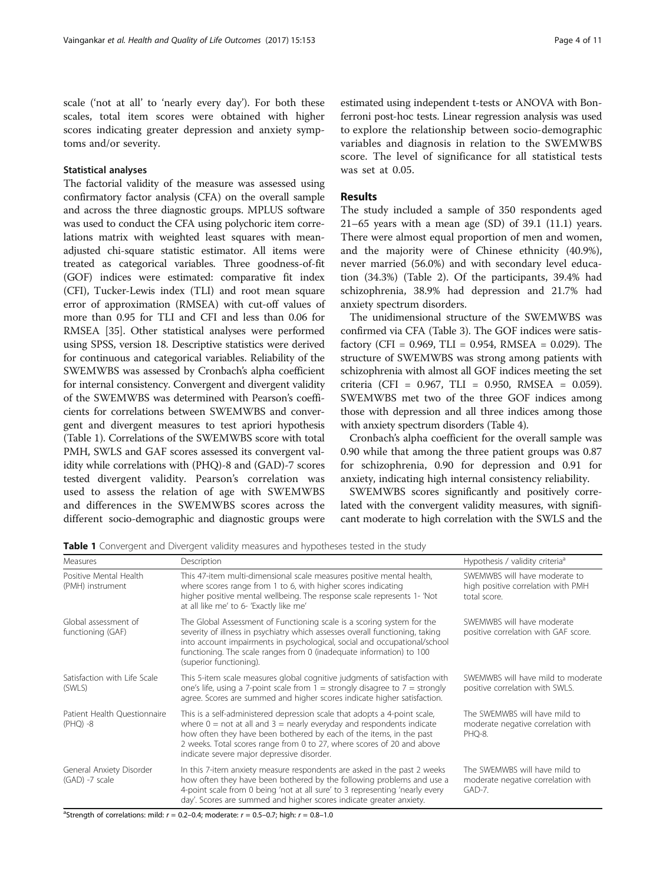scale ('not at all' to 'nearly every day'). For both these scales, total item scores were obtained with higher scores indicating greater depression and anxiety symptoms and/or severity.

## Statistical analyses

The factorial validity of the measure was assessed using confirmatory factor analysis (CFA) on the overall sample and across the three diagnostic groups. MPLUS software was used to conduct the CFA using polychoric item correlations matrix with weighted least squares with meanadjusted chi-square statistic estimator. All items were treated as categorical variables. Three goodness-of-fit (GOF) indices were estimated: comparative fit index (CFI), Tucker-Lewis index (TLI) and root mean square error of approximation (RMSEA) with cut-off values of more than 0.95 for TLI and CFI and less than 0.06 for RMSEA [\[35\]](#page-10-0). Other statistical analyses were performed using SPSS, version 18. Descriptive statistics were derived for continuous and categorical variables. Reliability of the SWEMWBS was assessed by Cronbach's alpha coefficient for internal consistency. Convergent and divergent validity of the SWEMWBS was determined with Pearson's coefficients for correlations between SWEMWBS and convergent and divergent measures to test apriori hypothesis (Table 1). Correlations of the SWEMWBS score with total PMH, SWLS and GAF scores assessed its convergent validity while correlations with (PHQ)-8 and (GAD)-7 scores tested divergent validity. Pearson's correlation was used to assess the relation of age with SWEMWBS and differences in the SWEMWBS scores across the different socio-demographic and diagnostic groups were

estimated using independent t-tests or ANOVA with Bonferroni post-hoc tests. Linear regression analysis was used to explore the relationship between socio-demographic variables and diagnosis in relation to the SWEMWBS score. The level of significance for all statistical tests was set at 0.05.

## Results

The study included a sample of 350 respondents aged  $21-65$  years with a mean age (SD) of 39.1 (11.1) years. There were almost equal proportion of men and women, and the majority were of Chinese ethnicity (40.9%), never married (56.0%) and with secondary level education (34.3%) (Table [2](#page-5-0)). Of the participants, 39.4% had schizophrenia, 38.9% had depression and 21.7% had anxiety spectrum disorders.

The unidimensional structure of the SWEMWBS was confirmed via CFA (Table [3](#page-6-0)). The GOF indices were satisfactory (CFI =  $0.969$ , TLI =  $0.954$ , RMSEA =  $0.029$ ). The structure of SWEMWBS was strong among patients with schizophrenia with almost all GOF indices meeting the set criteria (CFI = 0.967, TLI = 0.950, RMSEA = 0.059). SWEMWBS met two of the three GOF indices among those with depression and all three indices among those with anxiety spectrum disorders (Table [4\)](#page-6-0).

Cronbach's alpha coefficient for the overall sample was 0.90 while that among the three patient groups was 0.87 for schizophrenia, 0.90 for depression and 0.91 for anxiety, indicating high internal consistency reliability.

SWEMWBS scores significantly and positively correlated with the convergent validity measures, with significant moderate to high correlation with the SWLS and the

| Measures                                      | Description                                                                                                                                                                                                                                                                                                                                                         | Hypothesis / validity criteria <sup>a</sup>                                         |
|-----------------------------------------------|---------------------------------------------------------------------------------------------------------------------------------------------------------------------------------------------------------------------------------------------------------------------------------------------------------------------------------------------------------------------|-------------------------------------------------------------------------------------|
| Positive Mental Health<br>(PMH) instrument    | This 47-item multi-dimensional scale measures positive mental health,<br>where scores range from 1 to 6, with higher scores indicating<br>higher positive mental wellbeing. The response scale represents 1- 'Not<br>at all like me' to 6- 'Exactly like me'                                                                                                        | SWEMWBS will have moderate to<br>high positive correlation with PMH<br>total score. |
| Global assessment of<br>functioning (GAF)     | The Global Assessment of Functioning scale is a scoring system for the<br>severity of illness in psychiatry which assesses overall functioning, taking<br>into account impairments in psychological, social and occupational/school<br>functioning. The scale ranges from 0 (inadequate information) to 100<br>(superior functioning).                              | SWEMWBS will have moderate<br>positive correlation with GAF score.                  |
| Satisfaction with Life Scale<br>(SWLS)        | This 5-item scale measures global cognitive judgments of satisfaction with<br>one's life, using a 7-point scale from $1 =$ strongly disagree to $7 =$ strongly<br>agree. Scores are summed and higher scores indicate higher satisfaction.                                                                                                                          | SWEMWBS will have mild to moderate<br>positive correlation with SWLS.               |
| Patient Health Questionnaire<br>$(PHQ) -8$    | This is a self-administered depression scale that adopts a 4-point scale,<br>where $0 = \text{not}$ at all and $3 = \text{nearly}$ everyday and respondents indicate<br>how often they have been bothered by each of the items, in the past<br>2 weeks. Total scores range from 0 to 27, where scores of 20 and above<br>indicate severe major depressive disorder. | The SWEMWBS will have mild to<br>moderate negative correlation with<br>PHO-8.       |
| General Anxiety Disorder<br>$(GAD) - 7 scale$ | In this 7-item anxiety measure respondents are asked in the past 2 weeks<br>how often they have been bothered by the following problems and use a<br>4-point scale from 0 being 'not at all sure' to 3 representing 'nearly every<br>day'. Scores are summed and higher scores indicate greater anxiety.                                                            | The SWEMWBS will have mild to<br>moderate negative correlation with<br>GAD-7.       |

Table 1 Convergent and Divergent validity measures and hypotheses tested in the study

<sup>a</sup>Strength of correlations: mild:  $r = 0.2-0.4$ ; moderate:  $r = 0.5-0.7$ ; high:  $r = 0.8-1.0$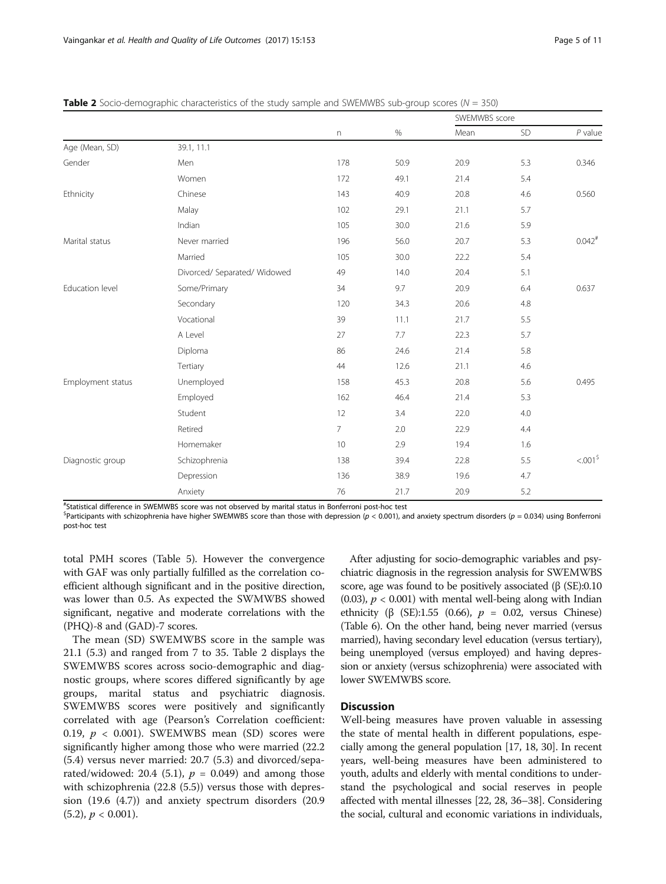|                   |                              | $\boldsymbol{\mathsf{n}}$ | $\%$ | SWEMWBS score |     |             |
|-------------------|------------------------------|---------------------------|------|---------------|-----|-------------|
|                   |                              |                           |      | Mean          | SD  | $P$ value   |
| Age (Mean, SD)    | 39.1, 11.1                   |                           |      |               |     |             |
| Gender            | Men                          | 178                       | 50.9 | 20.9          | 5.3 | 0.346       |
|                   | Women                        | 172                       | 49.1 | 21.4          | 5.4 |             |
| Ethnicity         | Chinese                      | 143                       | 40.9 | 20.8          | 4.6 | 0.560       |
|                   | Malay                        | 102                       | 29.1 | 21.1          | 5.7 |             |
|                   | Indian                       | 105                       | 30.0 | 21.6          | 5.9 |             |
| Marital status    | Never married                | 196                       | 56.0 | 20.7          | 5.3 | $0.042^{#}$ |
|                   | Married                      | 105                       | 30.0 | 22.2          | 5.4 |             |
|                   | Divorced/ Separated/ Widowed | 49                        | 14.0 | 20.4          | 5.1 |             |
| Education level   | Some/Primary                 | 34                        | 9.7  | 20.9          | 6.4 | 0.637       |
|                   | Secondary                    | 120                       | 34.3 | 20.6          | 4.8 |             |
|                   | Vocational                   | 39                        | 11.1 | 21.7          | 5.5 |             |
|                   | A Level                      | 27                        | 7.7  | 22.3          | 5.7 |             |
|                   | Diploma                      | 86                        | 24.6 | 21.4          | 5.8 |             |
|                   | Tertiary                     | 44                        | 12.6 | 21.1          | 4.6 |             |
| Employment status | Unemployed                   | 158                       | 45.3 | 20.8          | 5.6 | 0.495       |
|                   | Employed                     | 162                       | 46.4 | 21.4          | 5.3 |             |
|                   | Student                      | 12                        | 3.4  | 22.0          | 4.0 |             |
|                   | Retired                      | $\overline{7}$            | 2.0  | 22.9          | 4.4 |             |
|                   | Homemaker                    | 10                        | 2.9  | 19.4          | 1.6 |             |
| Diagnostic group  | Schizophrenia                | 138                       | 39.4 | 22.8          | 5.5 | $<0.015$    |
|                   | Depression                   | 136                       | 38.9 | 19.6          | 4.7 |             |
|                   | Anxiety                      | 76                        | 21.7 | 20.9          | 5.2 |             |

<span id="page-5-0"></span>**Table 2** Socio-demographic characteristics of the study sample and SWEMWBS sub-group scores ( $N = 350$ )

# Statistical difference in SWEMWBS score was not observed by marital status in Bonferroni post-hoc test

 ${}^{\$}$ Participants with schizophrenia have higher SWEMWBS score than those with depression ( $p < 0.001$ ), and anxiety spectrum disorders ( $p = 0.034$ ) using Bonferroni post-hoc test

total PMH scores (Table [5](#page-7-0)). However the convergence with GAF was only partially fulfilled as the correlation coefficient although significant and in the positive direction, was lower than 0.5. As expected the SWMWBS showed significant, negative and moderate correlations with the (PHQ)-8 and (GAD)-7 scores.

The mean (SD) SWEMWBS score in the sample was 21.1 (5.3) and ranged from 7 to 35. Table 2 displays the SWEMWBS scores across socio-demographic and diagnostic groups, where scores differed significantly by age groups, marital status and psychiatric diagnosis. SWEMWBS scores were positively and significantly correlated with age (Pearson's Correlation coefficient: 0.19,  $p < 0.001$ ). SWEMWBS mean (SD) scores were significantly higher among those who were married (22.2 (5.4) versus never married: 20.7 (5.3) and divorced/separated/widowed: 20.4 (5.1),  $p = 0.049$ ) and among those with schizophrenia (22.8 (5.5)) versus those with depression (19.6 (4.7)) and anxiety spectrum disorders (20.9  $(5.2), p < 0.001$ ).

After adjusting for socio-demographic variables and psychiatric diagnosis in the regression analysis for SWEMWBS score, age was found to be positively associated  $(\beta (SE):0.10)$ (0.03),  $p < 0.001$ ) with mental well-being along with Indian ethnicity ( $\beta$  (SE):1.55 (0.66),  $p = 0.02$ , versus Chinese) (Table [6](#page-7-0)). On the other hand, being never married (versus married), having secondary level education (versus tertiary), being unemployed (versus employed) and having depression or anxiety (versus schizophrenia) were associated with lower SWEMWBS score.

# **Discussion**

Well-being measures have proven valuable in assessing the state of mental health in different populations, especially among the general population [\[17, 18](#page-10-0), [30\]](#page-10-0). In recent years, well-being measures have been administered to youth, adults and elderly with mental conditions to understand the psychological and social reserves in people affected with mental illnesses [[22](#page-10-0), [28, 36](#page-10-0)–[38\]](#page-10-0). Considering the social, cultural and economic variations in individuals,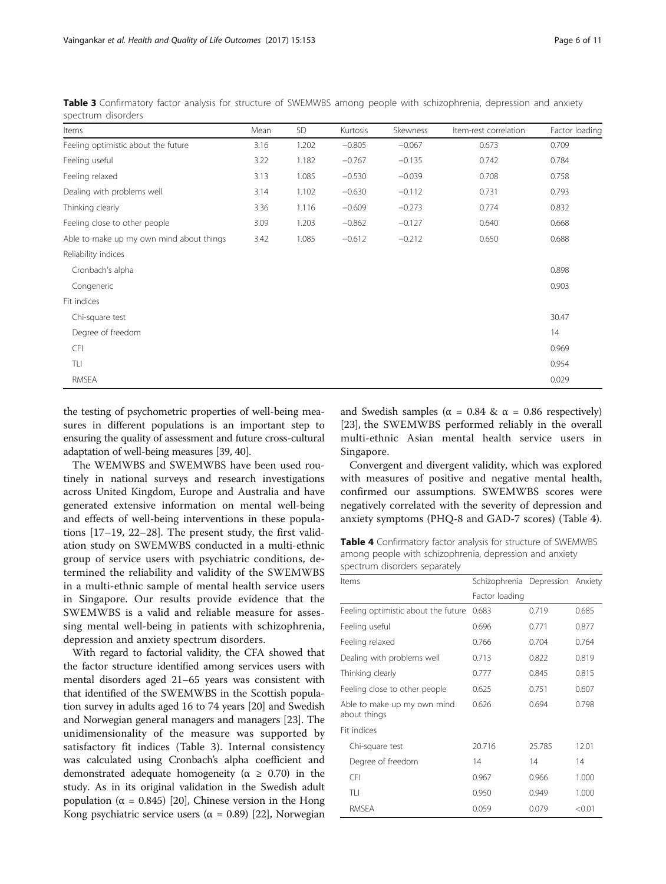| Items                                    | Mean | SD    | Kurtosis | Skewness | Item-rest correlation | Factor loading |
|------------------------------------------|------|-------|----------|----------|-----------------------|----------------|
| Feeling optimistic about the future      | 3.16 | 1.202 | $-0.805$ | $-0.067$ | 0.673                 | 0.709          |
| Feeling useful                           | 3.22 | 1.182 | $-0.767$ | $-0.135$ | 0.742                 | 0.784          |
| Feeling relaxed                          | 3.13 | 1.085 | $-0.530$ | $-0.039$ | 0.708                 | 0.758          |
| Dealing with problems well               | 3.14 | 1.102 | $-0.630$ | $-0.112$ | 0.731                 | 0.793          |
| Thinking clearly                         | 3.36 | 1.116 | $-0.609$ | $-0.273$ | 0.774                 | 0.832          |
| Feeling close to other people            | 3.09 | 1.203 | $-0.862$ | $-0.127$ | 0.640                 | 0.668          |
| Able to make up my own mind about things | 3.42 | 1.085 | $-0.612$ | $-0.212$ | 0.650                 | 0.688          |
| Reliability indices                      |      |       |          |          |                       |                |
| Cronbach's alpha                         |      |       |          |          |                       | 0.898          |
| Congeneric                               |      |       |          |          |                       | 0.903          |
| Fit indices                              |      |       |          |          |                       |                |
| Chi-square test                          |      |       |          |          |                       | 30.47          |
| Degree of freedom                        |      |       |          |          |                       | 14             |
| <b>CFI</b>                               |      |       |          |          |                       | 0.969          |
| TLI                                      |      |       |          |          |                       | 0.954          |
| RMSEA                                    |      |       |          |          |                       | 0.029          |

<span id="page-6-0"></span>Table 3 Confirmatory factor analysis for structure of SWEMWBS among people with schizophrenia, depression and anxiety spectrum disorders

the testing of psychometric properties of well-being measures in different populations is an important step to ensuring the quality of assessment and future cross-cultural adaptation of well-being measures [\[39, 40\]](#page-10-0).

The WEMWBS and SWEMWBS have been used routinely in national surveys and research investigations across United Kingdom, Europe and Australia and have generated extensive information on mental well-being and effects of well-being interventions in these populations [[17](#page-10-0)–[19](#page-10-0), [22](#page-10-0)–[28\]](#page-10-0). The present study, the first validation study on SWEMWBS conducted in a multi-ethnic group of service users with psychiatric conditions, determined the reliability and validity of the SWEMWBS in a multi-ethnic sample of mental health service users in Singapore. Our results provide evidence that the SWEMWBS is a valid and reliable measure for assessing mental well-being in patients with schizophrenia, depression and anxiety spectrum disorders.

With regard to factorial validity, the CFA showed that the factor structure identified among services users with mental disorders aged 21–65 years was consistent with that identified of the SWEMWBS in the Scottish population survey in adults aged 16 to 74 years [[20](#page-10-0)] and Swedish and Norwegian general managers and managers [[23](#page-10-0)]. The unidimensionality of the measure was supported by satisfactory fit indices (Table 3). Internal consistency was calculated using Cronbach's alpha coefficient and demonstrated adequate homogeneity ( $\alpha \geq 0.70$ ) in the study. As in its original validation in the Swedish adult population ( $α = 0.845$ ) [[20\]](#page-10-0), Chinese version in the Hong Kong psychiatric service users ( $\alpha = 0.89$ ) [[22](#page-10-0)], Norwegian and Swedish samples ( $\alpha = 0.84$  &  $\alpha = 0.86$  respectively) [[23](#page-10-0)], the SWEMWBS performed reliably in the overall multi-ethnic Asian mental health service users in Singapore.

Convergent and divergent validity, which was explored with measures of positive and negative mental health, confirmed our assumptions. SWEMWBS scores were negatively correlated with the severity of depression and anxiety symptoms (PHQ-8 and GAD-7 scores) (Table 4).

Table 4 Confirmatory factor analysis for structure of SWEMWBS among people with schizophrenia, depression and anxiety spectrum disorders separately

| Items                                       | Schizophrenia Depression Anxiety |        |        |
|---------------------------------------------|----------------------------------|--------|--------|
|                                             | Factor loading                   |        |        |
| Feeling optimistic about the future         | 0.683                            | 0.719  | 0.685  |
| Feeling useful                              | 0.696                            | 0.771  | 0.877  |
| Feeling relaxed                             | 0.766                            | 0.704  | 0.764  |
| Dealing with problems well                  | 0.713                            | 0.822  | 0.819  |
| Thinking clearly                            | 0.777                            | 0.845  | 0.815  |
| Feeling close to other people               | 0.625                            | 0.751  | 0.607  |
| Able to make up my own mind<br>about things | 0.626                            | 0.694  | 0.798  |
| Fit indices                                 |                                  |        |        |
| Chi-square test                             | 20.716                           | 25.785 | 12.01  |
| Degree of freedom                           | 14                               | 14     | 14     |
| <b>CFI</b>                                  | 0.967                            | 0.966  | 1.000  |
| TLI                                         | 0.950                            | 0.949  | 1.000  |
| RMSEA                                       | 0.059                            | 0.079  | < 0.01 |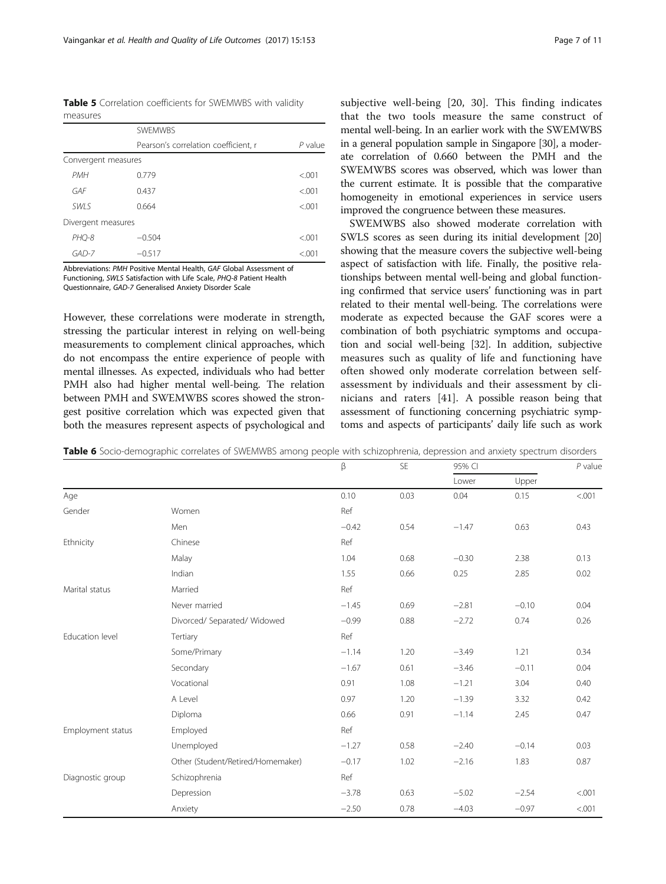<span id="page-7-0"></span>Table 5 Correlation coefficients for SWEMWBS with validity measures

|                     | <b>SWFMWBS</b>                       |           |
|---------------------|--------------------------------------|-----------|
|                     | Pearson's correlation coefficient, r | $P$ value |
| Convergent measures |                                      |           |
| <b>PMH</b>          | 0.779                                | < 0.01    |
| GAF                 | 0.437                                | < 0.01    |
| SWI S               | 0.664                                | < 0.01    |
| Divergent measures  |                                      |           |
| PHO-8               | $-0.504$                             | < 0.01    |
| $GAD-7$             | $-0.517$                             | < 0.01    |

Abbreviations: PMH Positive Mental Health, GAF Global Assessment of Functioning, SWLS Satisfaction with Life Scale, PHQ-8 Patient Health Questionnaire, GAD-7 Generalised Anxiety Disorder Scale

However, these correlations were moderate in strength, stressing the particular interest in relying on well-being measurements to complement clinical approaches, which do not encompass the entire experience of people with mental illnesses. As expected, individuals who had better PMH also had higher mental well-being. The relation between PMH and SWEMWBS scores showed the strongest positive correlation which was expected given that both the measures represent aspects of psychological and subjective well-being [[20, 30](#page-10-0)]. This finding indicates that the two tools measure the same construct of mental well-being. In an earlier work with the SWEMWBS in a general population sample in Singapore [\[30](#page-10-0)], a moderate correlation of 0.660 between the PMH and the SWEMWBS scores was observed, which was lower than the current estimate. It is possible that the comparative homogeneity in emotional experiences in service users improved the congruence between these measures.

SWEMWBS also showed moderate correlation with SWLS scores as seen during its initial development [[20](#page-10-0)] showing that the measure covers the subjective well-being aspect of satisfaction with life. Finally, the positive relationships between mental well-being and global functioning confirmed that service users' functioning was in part related to their mental well-being. The correlations were moderate as expected because the GAF scores were a combination of both psychiatric symptoms and occupation and social well-being [\[32\]](#page-10-0). In addition, subjective measures such as quality of life and functioning have often showed only moderate correlation between selfassessment by individuals and their assessment by clinicians and raters [[41\]](#page-10-0). A possible reason being that assessment of functioning concerning psychiatric symptoms and aspects of participants' daily life such as work

|                   |                                   | β       | SE   | 95% CI  |         | $P$ value |
|-------------------|-----------------------------------|---------|------|---------|---------|-----------|
|                   |                                   |         |      | Lower   | Upper   |           |
| Age               |                                   | 0.10    | 0.03 | 0.04    | 0.15    | < .001    |
| Gender            | Women                             | Ref     |      |         |         |           |
|                   | Men                               | $-0.42$ | 0.54 | $-1.47$ | 0.63    | 0.43      |
| Ethnicity         | Chinese                           | Ref     |      |         |         |           |
|                   | Malay                             | 1.04    | 0.68 | $-0.30$ | 2.38    | 0.13      |
|                   | Indian                            | 1.55    | 0.66 | 0.25    | 2.85    | 0.02      |
| Marital status    | Married                           | Ref     |      |         |         |           |
|                   | Never married                     | $-1.45$ | 0.69 | $-2.81$ | $-0.10$ | 0.04      |
|                   | Divorced/ Separated/ Widowed      | $-0.99$ | 0.88 | $-2.72$ | 0.74    | 0.26      |
| Education level   | Tertiary                          | Ref     |      |         |         |           |
|                   | Some/Primary                      | $-1.14$ | 1.20 | $-3.49$ | 1.21    | 0.34      |
|                   | Secondary                         | $-1.67$ | 0.61 | $-3.46$ | $-0.11$ | 0.04      |
|                   | Vocational                        | 0.91    | 1.08 | $-1.21$ | 3.04    | 0.40      |
|                   | A Level                           | 0.97    | 1.20 | $-1.39$ | 3.32    | 0.42      |
|                   | Diploma                           | 0.66    | 0.91 | $-1.14$ | 2.45    | 0.47      |
| Employment status | Employed                          | Ref     |      |         |         |           |
|                   | Unemployed                        | $-1.27$ | 0.58 | $-2.40$ | $-0.14$ | 0.03      |
|                   | Other (Student/Retired/Homemaker) | $-0.17$ | 1.02 | $-2.16$ | 1.83    | 0.87      |
| Diagnostic group  | Schizophrenia                     | Ref     |      |         |         |           |
|                   | Depression                        | $-3.78$ | 0.63 | $-5.02$ | $-2.54$ | < .001    |
|                   | Anxiety                           | $-2.50$ | 0.78 | $-4.03$ | $-0.97$ | < .001    |

Table 6 Socio-demographic correlates of SWEMWBS among people with schizophrenia, depression and anxiety spectrum disorders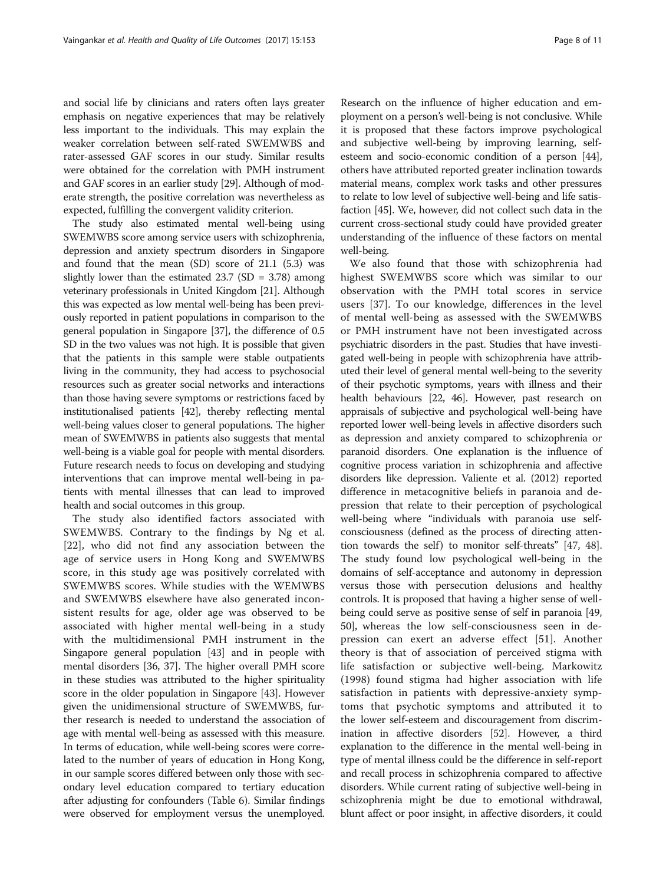and social life by clinicians and raters often lays greater emphasis on negative experiences that may be relatively less important to the individuals. This may explain the weaker correlation between self-rated SWEMWBS and rater-assessed GAF scores in our study. Similar results were obtained for the correlation with PMH instrument and GAF scores in an earlier study [[29](#page-10-0)]. Although of moderate strength, the positive correlation was nevertheless as expected, fulfilling the convergent validity criterion.

The study also estimated mental well-being using SWEMWBS score among service users with schizophrenia, depression and anxiety spectrum disorders in Singapore and found that the mean (SD) score of 21.1 (5.3) was slightly lower than the estimated  $23.7$  (SD = 3.78) among veterinary professionals in United Kingdom [[21](#page-10-0)]. Although this was expected as low mental well-being has been previously reported in patient populations in comparison to the general population in Singapore [[37](#page-10-0)], the difference of 0.5 SD in the two values was not high. It is possible that given that the patients in this sample were stable outpatients living in the community, they had access to psychosocial resources such as greater social networks and interactions than those having severe symptoms or restrictions faced by institutionalised patients [\[42\]](#page-10-0), thereby reflecting mental well-being values closer to general populations. The higher mean of SWEMWBS in patients also suggests that mental well-being is a viable goal for people with mental disorders. Future research needs to focus on developing and studying interventions that can improve mental well-being in patients with mental illnesses that can lead to improved health and social outcomes in this group.

The study also identified factors associated with SWEMWBS. Contrary to the findings by Ng et al. [[22\]](#page-10-0), who did not find any association between the age of service users in Hong Kong and SWEMWBS score, in this study age was positively correlated with SWEMWBS scores. While studies with the WEMWBS and SWEMWBS elsewhere have also generated inconsistent results for age, older age was observed to be associated with higher mental well-being in a study with the multidimensional PMH instrument in the Singapore general population [[43](#page-11-0)] and in people with mental disorders [\[36, 37](#page-10-0)]. The higher overall PMH score in these studies was attributed to the higher spirituality score in the older population in Singapore [\[43\]](#page-11-0). However given the unidimensional structure of SWEMWBS, further research is needed to understand the association of age with mental well-being as assessed with this measure. In terms of education, while well-being scores were correlated to the number of years of education in Hong Kong, in our sample scores differed between only those with secondary level education compared to tertiary education after adjusting for confounders (Table [6](#page-7-0)). Similar findings were observed for employment versus the unemployed. Research on the influence of higher education and employment on a person's well-being is not conclusive. While

it is proposed that these factors improve psychological and subjective well-being by improving learning, selfesteem and socio-economic condition of a person [[44](#page-11-0)], others have attributed reported greater inclination towards material means, complex work tasks and other pressures to relate to low level of subjective well-being and life satisfaction [\[45\]](#page-11-0). We, however, did not collect such data in the current cross-sectional study could have provided greater understanding of the influence of these factors on mental well-being.

We also found that those with schizophrenia had highest SWEMWBS score which was similar to our observation with the PMH total scores in service users [[37\]](#page-10-0). To our knowledge, differences in the level of mental well-being as assessed with the SWEMWBS or PMH instrument have not been investigated across psychiatric disorders in the past. Studies that have investigated well-being in people with schizophrenia have attributed their level of general mental well-being to the severity of their psychotic symptoms, years with illness and their health behaviours [[22,](#page-10-0) [46\]](#page-11-0). However, past research on appraisals of subjective and psychological well-being have reported lower well-being levels in affective disorders such as depression and anxiety compared to schizophrenia or paranoid disorders. One explanation is the influence of cognitive process variation in schizophrenia and affective disorders like depression. Valiente et al. (2012) reported difference in metacognitive beliefs in paranoia and depression that relate to their perception of psychological well-being where "individuals with paranoia use selfconsciousness (defined as the process of directing atten-tion towards the self) to monitor self-threats" [\[47, 48](#page-11-0)]. The study found low psychological well-being in the domains of self-acceptance and autonomy in depression versus those with persecution delusions and healthy controls. It is proposed that having a higher sense of wellbeing could serve as positive sense of self in paranoia [[49](#page-11-0), [50](#page-11-0)], whereas the low self-consciousness seen in depression can exert an adverse effect [[51\]](#page-11-0). Another theory is that of association of perceived stigma with life satisfaction or subjective well-being. Markowitz (1998) found stigma had higher association with life satisfaction in patients with depressive-anxiety symptoms that psychotic symptoms and attributed it to the lower self-esteem and discouragement from discrimination in affective disorders [\[52\]](#page-11-0). However, a third explanation to the difference in the mental well-being in type of mental illness could be the difference in self-report and recall process in schizophrenia compared to affective disorders. While current rating of subjective well-being in schizophrenia might be due to emotional withdrawal, blunt affect or poor insight, in affective disorders, it could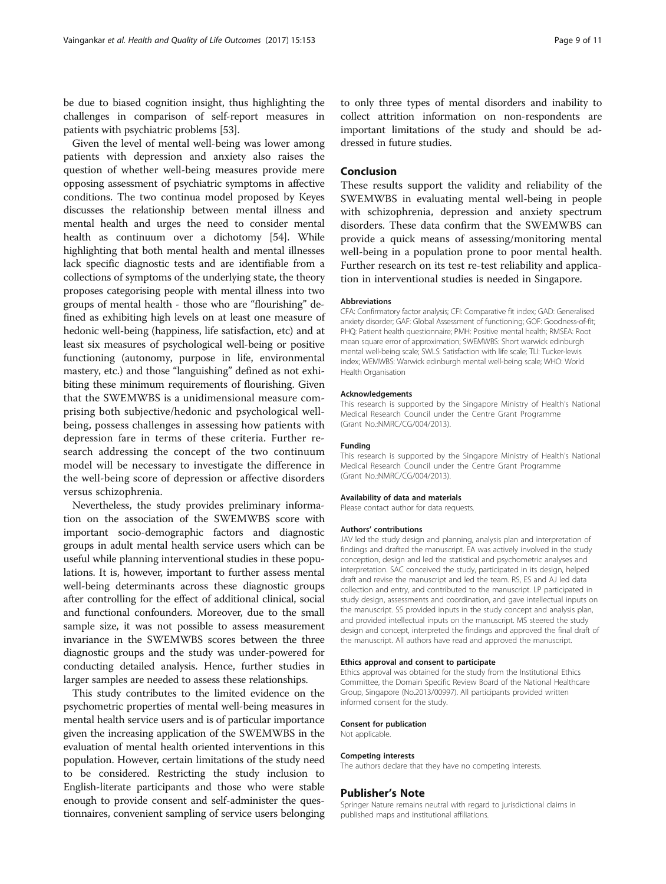be due to biased cognition insight, thus highlighting the challenges in comparison of self-report measures in patients with psychiatric problems [[53](#page-11-0)].

Given the level of mental well-being was lower among patients with depression and anxiety also raises the question of whether well-being measures provide mere opposing assessment of psychiatric symptoms in affective conditions. The two continua model proposed by Keyes discusses the relationship between mental illness and mental health and urges the need to consider mental health as continuum over a dichotomy [\[54\]](#page-11-0). While highlighting that both mental health and mental illnesses lack specific diagnostic tests and are identifiable from a collections of symptoms of the underlying state, the theory proposes categorising people with mental illness into two groups of mental health - those who are "flourishing" defined as exhibiting high levels on at least one measure of hedonic well-being (happiness, life satisfaction, etc) and at least six measures of psychological well-being or positive functioning (autonomy, purpose in life, environmental mastery, etc.) and those "languishing" defined as not exhibiting these minimum requirements of flourishing. Given that the SWEMWBS is a unidimensional measure comprising both subjective/hedonic and psychological wellbeing, possess challenges in assessing how patients with depression fare in terms of these criteria. Further research addressing the concept of the two continuum model will be necessary to investigate the difference in the well-being score of depression or affective disorders versus schizophrenia.

Nevertheless, the study provides preliminary information on the association of the SWEMWBS score with important socio-demographic factors and diagnostic groups in adult mental health service users which can be useful while planning interventional studies in these populations. It is, however, important to further assess mental well-being determinants across these diagnostic groups after controlling for the effect of additional clinical, social and functional confounders. Moreover, due to the small sample size, it was not possible to assess measurement invariance in the SWEMWBS scores between the three diagnostic groups and the study was under-powered for conducting detailed analysis. Hence, further studies in larger samples are needed to assess these relationships.

This study contributes to the limited evidence on the psychometric properties of mental well-being measures in mental health service users and is of particular importance given the increasing application of the SWEMWBS in the evaluation of mental health oriented interventions in this population. However, certain limitations of the study need to be considered. Restricting the study inclusion to English-literate participants and those who were stable enough to provide consent and self-administer the questionnaires, convenient sampling of service users belonging to only three types of mental disorders and inability to collect attrition information on non-respondents are important limitations of the study and should be addressed in future studies.

### Conclusion

These results support the validity and reliability of the SWEMWBS in evaluating mental well-being in people with schizophrenia, depression and anxiety spectrum disorders. These data confirm that the SWEMWBS can provide a quick means of assessing/monitoring mental well-being in a population prone to poor mental health. Further research on its test re-test reliability and application in interventional studies is needed in Singapore.

#### Abbreviations

CFA: Confirmatory factor analysis; CFI: Comparative fit index; GAD: Generalised anxiety disorder; GAF: Global Assessment of functioning; GOF: Goodness-of-fit; PHQ: Patient health questionnaire; PMH: Positive mental health; RMSEA: Root mean square error of approximation; SWEMWBS: Short warwick edinburgh mental well-being scale; SWLS: Satisfaction with life scale; TLI: Tucker-lewis index; WEMWBS: Warwick edinburgh mental well-being scale; WHO: World Health Organisation

#### Acknowledgements

This research is supported by the Singapore Ministry of Health's National Medical Research Council under the Centre Grant Programme (Grant No.:NMRC/CG/004/2013).

#### Funding

This research is supported by the Singapore Ministry of Health's National Medical Research Council under the Centre Grant Programme (Grant No.:NMRC/CG/004/2013).

#### Availability of data and materials

Please contact author for data requests.

#### Authors' contributions

JAV led the study design and planning, analysis plan and interpretation of findings and drafted the manuscript. EA was actively involved in the study conception, design and led the statistical and psychometric analyses and interpretation. SAC conceived the study, participated in its design, helped draft and revise the manuscript and led the team. RS, ES and AJ led data collection and entry, and contributed to the manuscript. LP participated in study design, assessments and coordination, and gave intellectual inputs on the manuscript. SS provided inputs in the study concept and analysis plan, and provided intellectual inputs on the manuscript. MS steered the study design and concept, interpreted the findings and approved the final draft of the manuscript. All authors have read and approved the manuscript.

#### Ethics approval and consent to participate

Ethics approval was obtained for the study from the Institutional Ethics Committee, the Domain Specific Review Board of the National Healthcare Group, Singapore (No.2013/00997). All participants provided written informed consent for the study.

#### Consent for publication

Not applicable.

#### Competing interests

The authors declare that they have no competing interests.

#### Publisher's Note

Springer Nature remains neutral with regard to jurisdictional claims in published maps and institutional affiliations.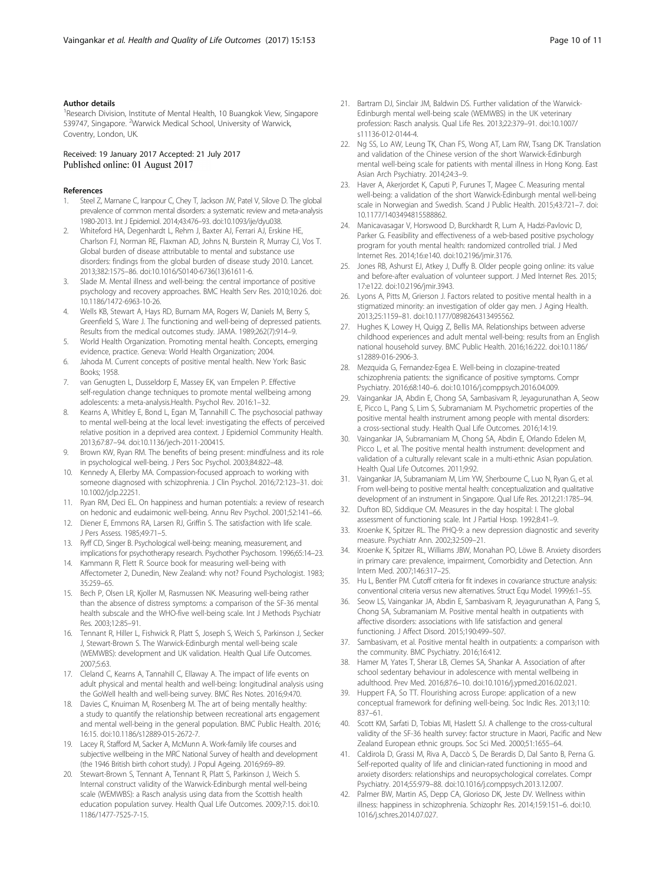#### <span id="page-10-0"></span>Author details

<sup>1</sup> Research Division, Institute of Mental Health, 10 Buangkok View, Singapore 539747, Singapore. <sup>2</sup>Warwick Medical School, University of Warwick, Coventry, London, UK.

#### Received: 19 January 2017 Accepted: 21 July 2017 Published online: 01 August 2017

#### References

- 1. Steel Z, Marnane C, Iranpour C, Chey T, Jackson JW, Patel V, Silove D. The global prevalence of common mental disorders: a systematic review and meta-analysis 1980-2013. Int J Epidemiol. 2014;43:476–93. doi[:10.1093/ije/dyu038](http://dx.doi.org/10.1093/ije/dyu038).
- 2. Whiteford HA, Degenhardt L, Rehm J, Baxter AJ, Ferrari AJ, Erskine HE, Charlson FJ, Norman RE, Flaxman AD, Johns N, Burstein R, Murray CJ, Vos T. Global burden of disease attributable to mental and substance use disorders: findings from the global burden of disease study 2010. Lancet. 2013;382:1575–86. doi:[10.1016/S0140-6736\(13\)61611-6](http://dx.doi.org/10.1016/S0140-6736(13)61611-6).
- 3. Slade M. Mental illness and well-being: the central importance of positive psychology and recovery approaches. BMC Health Serv Res. 2010;10:26. doi: [10.1186/1472-6963-10-26.](http://dx.doi.org/10.1186/1472-6963-10-26)
- 4. Wells KB, Stewart A, Hays RD, Burnam MA, Rogers W, Daniels M, Berry S, Greenfield S, Ware J. The functioning and well-being of depressed patients. Results from the medical outcomes study. JAMA. 1989;262(7):914–9.
- 5. World Health Organization. Promoting mental health. Concepts, emerging evidence, practice. Geneva: World Health Organization; 2004.
- 6. Jahoda M. Current concepts of positive mental health. New York: Basic Books; 1958.
- 7. van Genugten L, Dusseldorp E, Massey EK, van Empelen P. Effective self-regulation change techniques to promote mental wellbeing among adolescents: a meta-analysis.Health. Psychol Rev. 2016:1–32.
- Kearns A, Whitley E, Bond L, Egan M, Tannahill C. The psychosocial pathway to mental well-being at the local level: investigating the effects of perceived relative position in a deprived area context. J Epidemiol Community Health. 2013;67:87–94. doi[:10.1136/jech-2011-200415.](http://dx.doi.org/10.1136/jech-2011-200415)
- 9. Brown KW, Ryan RM. The benefits of being present: mindfulness and its role in psychological well-being. J Pers Soc Psychol. 2003;84:822–48.
- 10. Kennedy A, Ellerby MA. Compassion-focused approach to working with someone diagnosed with schizophrenia. J Clin Psychol. 2016;72:123–31. doi: [10.1002/jclp.22251](http://dx.doi.org/10.1002/jclp.22251).
- 11. Ryan RM, Deci EL. On happiness and human potentials: a review of research on hedonic and eudaimonic well-being. Annu Rev Psychol. 2001;52:141–66.
- 12. Diener E, Emmons RA, Larsen RJ, Griffin S. The satisfaction with life scale. J Pers Assess. 1985;49:71–5.
- 13. Ryff CD, Singer B. Psychological well-being: meaning, measurement, and implications for psychotherapy research. Psychother Psychosom. 1996;65:14–23.
- 14. Kammann R, Flett R. Source book for measuring well-being with Affectometer 2, Dunedin, New Zealand: why not? Found Psychologist. 1983; 35:259–65.
- 15. Bech P, Olsen LR, Kjoller M, Rasmussen NK. Measuring well-being rather than the absence of distress symptoms: a comparison of the SF-36 mental health subscale and the WHO-five well-being scale. Int J Methods Psychiatr Res. 2003;12:85–91.
- 16. Tennant R, Hiller L, Fishwick R, Platt S, Joseph S, Weich S, Parkinson J, Secker J, Stewart-Brown S. The Warwick-Edinburgh mental well-being scale (WEMWBS): development and UK validation. Health Qual Life Outcomes. 2007;5:63.
- 17. Cleland C, Kearns A, Tannahill C, Ellaway A. The impact of life events on adult physical and mental health and well-being: longitudinal analysis using the GoWell health and well-being survey. BMC Res Notes. 2016;9:470.
- 18. Davies C, Knuiman M, Rosenberg M. The art of being mentally healthy: a study to quantify the relationship between recreational arts engagement and mental well-being in the general population. BMC Public Health. 2016; 16:15. doi[:10.1186/s12889-015-2672-7](http://dx.doi.org/10.1186/s12889-015-2672-7).
- 19. Lacey R, Stafford M, Sacker A, McMunn A. Work-family life courses and subjective wellbeing in the MRC National Survey of health and development (the 1946 British birth cohort study). J Popul Ageing. 2016;9:69–89.
- 20. Stewart-Brown S, Tennant A, Tennant R, Platt S, Parkinson J, Weich S. Internal construct validity of the Warwick-Edinburgh mental well-being scale (WEMWBS): a Rasch analysis using data from the Scottish health education population survey. Health Qual Life Outcomes. 2009;7:15. doi[:10.](http://dx.doi.org/10.1186/1477-7525-7-15) [1186/1477-7525-7-15.](http://dx.doi.org/10.1186/1477-7525-7-15)
- 21. Bartram DJ, Sinclair JM, Baldwin DS. Further validation of the Warwick-Edinburgh mental well-being scale (WEMWBS) in the UK veterinary profession: Rasch analysis. Qual Life Res. 2013;22:379–91. doi:[10.1007/](http://dx.doi.org/10.1007/s11136-012-0144-4) [s11136-012-0144-4.](http://dx.doi.org/10.1007/s11136-012-0144-4)
- 22. Ng SS, Lo AW, Leung TK, Chan FS, Wong AT, Lam RW, Tsang DK. Translation and validation of the Chinese version of the short Warwick-Edinburgh mental well-being scale for patients with mental illness in Hong Kong. East Asian Arch Psychiatry. 2014;24:3–9.
- 23. Haver A, Akerjordet K, Caputi P, Furunes T, Magee C. Measuring mental well-being: a validation of the short Warwick-Edinburgh mental well-being scale in Norwegian and Swedish. Scand J Public Health. 2015;43:721–7. doi: [10.1177/1403494815588862](http://dx.doi.org/10.1177/1403494815588862).
- 24. Manicavasagar V, Horswood D, Burckhardt R, Lum A, Hadzi-Pavlovic D, Parker G. Feasibility and effectiveness of a web-based positive psychology program for youth mental health: randomized controlled trial. J Med Internet Res. 2014;16:e140. doi[:10.2196/jmir.3176.](http://dx.doi.org/10.2196/jmir.3176)
- 25. Jones RB, Ashurst EJ, Atkey J, Duffy B. Older people going online: its value and before-after evaluation of volunteer support. J Med Internet Res. 2015; 17:e122. doi[:10.2196/jmir.3943.](http://dx.doi.org/10.2196/jmir.3943)
- 26. Lyons A, Pitts M, Grierson J. Factors related to positive mental health in a stigmatized minority: an investigation of older gay men. J Aging Health. 2013;25:1159–81. doi[:10.1177/0898264313495562.](http://dx.doi.org/10.1177/0898264313495562)
- 27. Hughes K, Lowey H, Quigg Z, Bellis MA. Relationships between adverse childhood experiences and adult mental well-being: results from an English national household survey. BMC Public Health. 2016;16:222. doi:[10.1186/](http://dx.doi.org/10.1186/s12889-016-2906-3) [s12889-016-2906-3.](http://dx.doi.org/10.1186/s12889-016-2906-3)
- 28. Mezquida G, Fernandez-Egea E. Well-being in clozapine-treated schizophrenia patients: the significance of positive symptoms. Compr Psychiatry. 2016;68:140–6. doi:[10.1016/j.comppsych.2016.04.009.](http://dx.doi.org/10.1016/j.comppsych.2016.04.009)
- 29. Vaingankar JA, Abdin E, Chong SA, Sambasivam R, Jeyagurunathan A, Seow E, Picco L, Pang S, Lim S, Subramaniam M. Psychometric properties of the positive mental health instrument among people with mental disorders: a cross-sectional study. Health Qual Life Outcomes. 2016;14:19.
- 30. Vaingankar JA, Subramaniam M, Chong SA, Abdin E, Orlando Edelen M, Picco L, et al. The positive mental health instrument: development and validation of a culturally relevant scale in a multi-ethnic Asian population. Health Qual Life Outcomes. 2011;9:92.
- 31. Vaingankar JA, Subramaniam M, Lim YW, Sherbourne C, Luo N, Ryan G, et al. From well-being to positive mental health: conceptualization and qualitative development of an instrument in Singapore. Qual Life Res. 2012;21:1785–94.
- 32. Dufton BD, Siddique CM. Measures in the day hospital: I. The global assessment of functioning scale. Int J Partial Hosp. 1992;8:41–9.
- 33. Kroenke K, Spitzer RL. The PHQ-9: a new depression diagnostic and severity measure. Psychiatr Ann. 2002;32:509–21.
- 34. Kroenke K, Spitzer RL, Williams JBW, Monahan PO, Löwe B. Anxiety disorders in primary care: prevalence, impairment, Comorbidity and Detection. Ann Intern Med. 2007;146:317–25.
- 35. Hu L, Bentler PM. Cutoff criteria for fit indexes in covariance structure analysis: conventional criteria versus new alternatives. Struct Equ Model. 1999;6:1–55.
- 36. Seow LS, Vaingankar JA, Abdin E, Sambasivam R, Jeyagurunathan A, Pang S, Chong SA, Subramaniam M. Positive mental health in outpatients with affective disorders: associations with life satisfaction and general functioning. J Affect Disord. 2015;190:499–507.
- 37. Sambasivam, et al. Positive mental health in outpatients: a comparison with the community. BMC Psychiatry. 2016;16:412.
- 38. Hamer M, Yates T, Sherar LB, Clemes SA, Shankar A. Association of after school sedentary behaviour in adolescence with mental wellbeing in adulthood. Prev Med. 2016;87:6–10. doi[:10.1016/j.ypmed.2016.02.021](http://dx.doi.org/10.1016/j.ypmed.2016.02.021).
- 39. Huppert FA, So TT. Flourishing across Europe: application of a new conceptual framework for defining well-being. Soc Indic Res. 2013;110: 837–61.
- 40. Scott KM, Sarfati D, Tobias MI, Haslett SJ. A challenge to the cross-cultural validity of the SF-36 health survey: factor structure in Maori, Pacific and New Zealand European ethnic groups. Soc Sci Med. 2000;51:1655–64.
- 41. Caldirola D, Grassi M, Riva A, Daccò S, De Berardis D, Dal Santo B, Perna G. Self-reported quality of life and clinician-rated functioning in mood and anxiety disorders: relationships and neuropsychological correlates. Compr Psychiatry. 2014;55:979–88. doi[:10.1016/j.comppsych.2013.12.007](http://dx.doi.org/10.1016/j.comppsych.2013.12.007).
- 42. Palmer BW, Martin AS, Depp CA, Glorioso DK, Jeste DV. Wellness within illness: happiness in schizophrenia. Schizophr Res. 2014;159:151–6. doi:[10.](http://dx.doi.org/10.1016/j.schres.2014.07.027) [1016/j.schres.2014.07.027](http://dx.doi.org/10.1016/j.schres.2014.07.027).